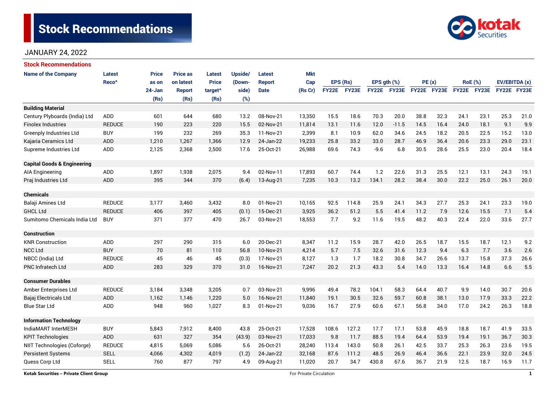# **Stock Recommendations**



# JANUARY 24, 2022

| <b>Stock Recommendations</b>           |                   |              |                 |                     |         |               |            |              |       |                  |         |             |      |                |             |               |      |
|----------------------------------------|-------------------|--------------|-----------------|---------------------|---------|---------------|------------|--------------|-------|------------------|---------|-------------|------|----------------|-------------|---------------|------|
| <b>Name of the Company</b>             | Latest            | <b>Price</b> | <b>Price as</b> | <b>Latest</b>       | Upside/ | Latest        | <b>Mkt</b> |              |       |                  |         |             |      |                |             |               |      |
|                                        | Reco <sup>^</sup> | as on        | on latest       | <b>Price</b>        | (Down-  | <b>Report</b> | Cap        | EPS (Rs)     |       | EPS $qth$ $(\%)$ |         | PE(x)       |      | <b>RoE</b> (%) |             | EV/EBITDA (x) |      |
|                                        |                   | 24-Jan       | <b>Report</b>   | target <sup>^</sup> | side)   | <b>Date</b>   | (Rs Cr)    | <b>FY22E</b> | FY23E | <b>FY22E</b>     | FY23E   | FY22E FY23E |      |                | FY22E FY23E | FY22E FY23E   |      |
|                                        |                   | (Rs)         | (Rs)            | (Rs)                | (%)     |               |            |              |       |                  |         |             |      |                |             |               |      |
| <b>Building Material</b>               |                   |              |                 |                     |         |               |            |              |       |                  |         |             |      |                |             |               |      |
| Century Plyboards (India) Ltd          | <b>ADD</b>        | 601          | 644             | 680                 | 13.2    | 08-Nov-21     | 13,350     | 15.5         | 18.6  | 70.3             | 20.0    | 38.8        | 32.3 | 24.1           | 23.1        | 25.3          | 21.0 |
| <b>Finolex Industries</b>              | <b>REDUCE</b>     | 190          | 223             | 220                 | 15.5    | 02-Nov-21     | 11,814     | 13.1         | 11.6  | 12.0             | $-11.5$ | 14.5        | 16.4 | 24.0           | 18.1        | 9.1           | 9.9  |
| <b>Greenply Industries Ltd</b>         | <b>BUY</b>        | 199          | 232             | 269                 | 35.3    | 11-Nov-21     | 2,399      | 8.1          | 10.9  | 62.0             | 34.6    | 24.5        | 18.2 | 20.5           | 22.5        | 15.2          | 13.0 |
| Kajaria Ceramics Ltd                   | <b>ADD</b>        | 1,210        | 1,267           | 1,366               | 12.9    | 24-Jan-22     | 19,233     | 25.8         | 33.2  | 33.0             | 28.7    | 46.9        | 36.4 | 20.6           | 23.3        | 29.0          | 23.1 |
| Supreme Industries Ltd                 | ADD               | 2,125        | 2,368           | 2,500               | 17.6    | 25-Oct-21     | 26,988     | 69.6         | 74.3  | $-9.6$           | 6.8     | 30.5        | 28.6 | 25.5           | 23.0        | 20.4          | 18.4 |
| <b>Capital Goods &amp; Engineering</b> |                   |              |                 |                     |         |               |            |              |       |                  |         |             |      |                |             |               |      |
| AIA Engineering                        | <b>ADD</b>        | 1,897        | 1,938           | 2,075               | 9.4     | 02-Nov-11     | 17,893     | 60.7         | 74.4  | 1.2              | 22.6    | 31.3        | 25.5 | 12.1           | 13.1        | 24.3          | 19.1 |
| Praj Industries Ltd                    | <b>ADD</b>        | 395          | 344             | 370                 | (6.4)   | 13-Aug-21     | 7,235      | 10.3         | 13.2  | 134.1            | 28.2    | 38.4        | 30.0 | 22.2           | 25.0        | 26.1          | 20.0 |
| <b>Chemicals</b>                       |                   |              |                 |                     |         |               |            |              |       |                  |         |             |      |                |             |               |      |
| Balaji Amines Ltd                      | <b>REDUCE</b>     | 3,177        | 3,460           | 3,432               | 8.0     | 01-Nov-21     | 10,165     | 92.5         | 114.8 | 25.9             | 24.1    | 34.3        | 27.7 | 25.3           | 24.1        | 23.3          | 19.0 |
| <b>GHCL Ltd</b>                        | <b>REDUCE</b>     | 406          | 397             | 405                 | (0.1)   | 15-Dec-21     | 3,925      | 36.2         | 51.2  | 5.5              | 41.4    | 11.2        | 7.9  | 12.6           | 15.5        | 7.1           | 5.4  |
| Sumitomo Chemicals India Ltd           | <b>BUY</b>        | 371          | 377             | 470                 | 26.7    | 03-Nov-21     | 18,553     | 7.7          | 9.2   | 11.6             | 19.5    | 48.2        | 40.3 | 22.4           | 22.0        | 33.6          | 27.7 |
| <b>Construction</b>                    |                   |              |                 |                     |         |               |            |              |       |                  |         |             |      |                |             |               |      |
| <b>KNR Construction</b>                | ADD               | 297          | 290             | 315                 | 6.0     | 20-Dec-21     | 8,347      | 11.2         | 15.9  | 28.7             | 42.0    | 26.5        | 18.7 | 15.5           | 18.7        | 12.1          | 9.2  |
| <b>NCC Ltd</b>                         | <b>BUY</b>        | 70           | 81              | 110                 | 56.8    | 10-Nov-21     | 4,214      | 5.7          | 7.5   | 32.6             | 31.6    | 12.3        | 9.4  | 6.3            | 7.7         | 3.6           | 2.6  |
| NBCC (India) Ltd                       | <b>REDUCE</b>     | 45           | 46              | 45                  | (0.3)   | 17-Nov-21     | 8,127      | 1.3          | 1.7   | 18.2             | 30.8    | 34.7        | 26.6 | 13.7           | 15.8        | 37.3          | 26.6 |
| <b>PNC Infratech Ltd</b>               | ADD               | 283          | 329             | 370                 | 31.0    | 16-Nov-21     | 7,247      | 20.2         | 21.3  | 43.3             | 5.4     | 14.0        | 13.3 | 16.4           | 14.8        | 6.6           | 5.5  |
| <b>Consumer Durables</b>               |                   |              |                 |                     |         |               |            |              |       |                  |         |             |      |                |             |               |      |
| Amber Enterprises Ltd                  | <b>REDUCE</b>     | 3,184        | 3,348           | 3,205               | 0.7     | 03-Nov-21     | 9,996      | 49.4         | 78.2  | 104.1            | 58.3    | 64.4        | 40.7 | 9.9            | 14.0        | 30.7          | 20.6 |
| Bajaj Electricals Ltd                  | <b>ADD</b>        | 1,162        | 1,146           | 1,220               | 5.0     | 16-Nov-21     | 11,840     | 19.1         | 30.5  | 32.6             | 59.7    | 60.8        | 38.1 | 13.0           | 17.9        | 33.3          | 22.2 |
| <b>Blue Star Ltd</b>                   | ADD               | 948          | 960             | 1,027               | 8.3     | 01-Nov-21     | 9,036      | 16.7         | 27.9  | 60.6             | 67.1    | 56.8        | 34.0 | 17.0           | 24.2        | 26.3          | 18.8 |
| <b>Information Technology</b>          |                   |              |                 |                     |         |               |            |              |       |                  |         |             |      |                |             |               |      |
| IndiaMART InterMESH                    | <b>BUY</b>        | 5,843        | 7,912           | 8,400               | 43.8    | 25-Oct-21     | 17,528     | 108.6        | 127.2 | 17.7             | 17.1    | 53.8        | 45.9 | 18.8           | 18.7        | 41.9          | 33.5 |
| <b>KPIT Technologies</b>               | <b>ADD</b>        | 631          | 327             | 354                 | (43.9)  | 03-Nov-21     | 17,033     | 9.8          | 11.7  | 88.5             | 19.4    | 64.4        | 53.9 | 19.4           | 19.1        | 36.7          | 30.3 |
| NIIT Technologies (Coforge)            | <b>REDUCE</b>     | 4,815        | 5,069           | 5,086               | 5.6     | 26-Oct-21     | 28,240     | 113.4        | 143.0 | 50.8             | 26.1    | 42.5        | 33.7 | 25.3           | 26.3        | 23.6          | 19.5 |
| <b>Persistent Systems</b>              | <b>SELL</b>       | 4,066        | 4,302           | 4,019               | (1.2)   | 24-Jan-22     | 32,168     | 87.6         | 111.2 | 48.5             | 26.9    | 46.4        | 36.6 | 22.1           | 23.9        | 32.0          | 24.5 |
| Quess Corp Ltd                         | SELL              | 760          | 877             | 797                 | 4.9     | 09-Aug-21     | 11,020     | 20.7         | 34.7  | 430.8            | 67.6    | 36.7        | 21.9 | 12.5           | 18.7        | 16.9          | 11.7 |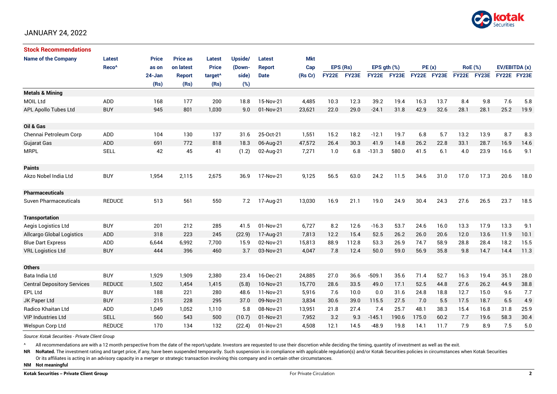

## JANUARY 24, 2022

| <b>Stock Recommendations</b>       |                   |        |                 |                     |         |               |            |              |       |                  |       |             |      |      |                |               |      |
|------------------------------------|-------------------|--------|-----------------|---------------------|---------|---------------|------------|--------------|-------|------------------|-------|-------------|------|------|----------------|---------------|------|
| <b>Name of the Company</b>         | <b>Latest</b>     | Price  | <b>Price as</b> | <b>Latest</b>       | Upside/ | Latest        | <b>Mkt</b> |              |       |                  |       |             |      |      |                |               |      |
|                                    | Reco <sup>^</sup> | as on  | on latest       | <b>Price</b>        | (Down-  | <b>Report</b> | Cap        | EPS (Rs)     |       | EPS $gth$ $(\%)$ |       | PE(x)       |      |      | <b>RoE</b> (%) | EV/EBITDA (x) |      |
|                                    |                   | 24-Jan | <b>Report</b>   | target <sup>^</sup> | side)   | <b>Date</b>   | (Rs Cr)    | <b>FY22E</b> | FY23E | <b>FY22E</b>     | FY23E | FY22E FY23E |      |      | FY22E FY23E    | FY22E FY23E   |      |
|                                    |                   | (Rs)   | (Rs)            | (Rs)                | (%)     |               |            |              |       |                  |       |             |      |      |                |               |      |
| <b>Metals &amp; Mining</b>         |                   |        |                 |                     |         |               |            |              |       |                  |       |             |      |      |                |               |      |
| MOIL Ltd                           | <b>ADD</b>        | 168    | 177             | 200                 | 18.8    | 15-Nov-21     | 4,485      | 10.3         | 12.3  | 39.2             | 19.4  | 16.3        | 13.7 | 8.4  | 9.8            | 7.6           | 5.8  |
| APL Apollo Tubes Ltd               | <b>BUY</b>        | 945    | 801             | 1,030               | 9.0     | 01-Nov-21     | 23,621     | 22.0         | 29.0  | $-24.1$          | 31.8  | 42.9        | 32.6 | 28.1 | 28.1           | 25.2          | 19.9 |
|                                    |                   |        |                 |                     |         |               |            |              |       |                  |       |             |      |      |                |               |      |
| Oil & Gas                          |                   |        |                 |                     |         |               |            |              |       |                  |       |             |      |      |                |               |      |
| Chennai Petroleum Corp             | ADD               | 104    | 130             | 137                 | 31.6    | 25-Oct-21     | 1,551      | 15.2         | 18.2  | $-12.1$          | 19.7  | 6.8         | 5.7  | 13.2 | 13.9           | 8.7           | 8.3  |
| <b>Gujarat Gas</b>                 | ADD               | 691    | 772             | 818                 | 18.3    | 06-Aug-21     | 47,572     | 26.4         | 30.3  | 41.9             | 14.8  | 26.2        | 22.8 | 33.1 | 28.7           | 16.9          | 14.6 |
| <b>MRPL</b>                        | <b>SELL</b>       | 42     | 45              | 41                  | (1.2)   | 02-Aug-21     | 7,271      | 1.0          | 6.8   | $-131.3$         | 580.0 | 41.5        | 6.1  | 4.0  | 23.9           | 16.6          | 9.1  |
|                                    |                   |        |                 |                     |         |               |            |              |       |                  |       |             |      |      |                |               |      |
| <b>Paints</b>                      |                   |        |                 |                     |         |               |            |              |       |                  |       |             |      |      |                |               |      |
| Akzo Nobel India Ltd               | <b>BUY</b>        | 1,954  | 2,115           | 2,675               | 36.9    | 17-Nov-21     | 9,125      | 56.5         | 63.0  | 24.2             | 11.5  | 34.6        | 31.0 | 17.0 | 17.3           | 20.6          | 18.0 |
|                                    |                   |        |                 |                     |         |               |            |              |       |                  |       |             |      |      |                |               |      |
| <b>Pharmaceuticals</b>             |                   |        |                 |                     |         |               |            |              |       |                  |       |             |      |      |                |               |      |
| <b>Suven Pharmaceuticals</b>       | <b>REDUCE</b>     | 513    | 561             | 550                 | 7.2     | 17-Aug-21     | 13,030     | 16.9         | 21.1  | 19.0             | 24.9  | 30.4        | 24.3 | 27.6 | 26.5           | 23.7          | 18.5 |
|                                    |                   |        |                 |                     |         |               |            |              |       |                  |       |             |      |      |                |               |      |
| <b>Transportation</b>              |                   |        |                 |                     |         |               |            |              |       |                  |       |             |      |      |                |               |      |
| Aegis Logistics Ltd                | <b>BUY</b>        | 201    | 212             | 285                 | 41.5    | 01-Nov-21     | 6,727      | 8.2          | 12.6  | $-16.3$          | 53.7  | 24.6        | 16.0 | 13.3 | 17.9           | 13.3          | 9.1  |
| <b>Allcargo Global Logistics</b>   | <b>ADD</b>        | 318    | 223             | 245                 | (22.9)  | 17-Aug-21     | 7,813      | 12.2         | 15.4  | 52.5             | 26.2  | 26.0        | 20.6 | 12.0 | 13.6           | 11.9          | 10.1 |
| <b>Blue Dart Express</b>           | ADD               | 6,644  | 6,992           | 7,700               | 15.9    | 02-Nov-21     | 15,813     | 88.9         | 112.8 | 53.3             | 26.9  | 74.7        | 58.9 | 28.8 | 28.4           | 18.2          | 15.5 |
| <b>VRL Logistics Ltd</b>           | <b>BUY</b>        | 444    | 396             | 460                 | 3.7     | 03-Nov-21     | 4,047      | 7.8          | 12.4  | 50.0             | 59.0  | 56.9        | 35.8 | 9.8  | 14.7           | 14.4          | 11.3 |
|                                    |                   |        |                 |                     |         |               |            |              |       |                  |       |             |      |      |                |               |      |
| <b>Others</b>                      |                   |        |                 |                     |         |               |            |              |       |                  |       |             |      |      |                |               |      |
| Bata India Ltd                     | <b>BUY</b>        | 1,929  | 1,909           | 2,380               | 23.4    | 16-Dec-21     | 24,885     | 27.0         | 36.6  | $-509.1$         | 35.6  | 71.4        | 52.7 | 16.3 | 19.4           | 35.1          | 28.0 |
| <b>Central Depository Services</b> | <b>REDUCE</b>     | 1,502  | 1,454           | 1,415               | (5.8)   | 10-Nov-21     | 15,770     | 28.6         | 33.5  | 49.0             | 17.1  | 52.5        | 44.8 | 27.6 | 26.2           | 44.9          | 38.8 |
| EPL Ltd                            | <b>BUY</b>        | 188    | 221             | 280                 | 48.6    | 11-Nov-21     | 5,916      | 7.6          | 10.0  | 0.0              | 31.6  | 24.8        | 18.8 | 12.7 | 15.0           | 9.6           | 7.7  |
| JK Paper Ltd                       | <b>BUY</b>        | 215    | 228             | 295                 | 37.0    | 09-Nov-21     | 3,834      | 30.6         | 39.0  | 115.5            | 27.5  | 7.0         | 5.5  | 17.5 | 18.7           | 6.5           | 4.9  |
| <b>Radico Khaitan Ltd</b>          | ADD               | 1,049  | 1,052           | 1,110               | 5.8     | 08-Nov-21     | 13,951     | 21.8         | 27.4  | 7.4              | 25.7  | 48.1        | 38.3 | 15.4 | 16.8           | 31.8          | 25.9 |
| <b>VIP Industries Ltd</b>          | <b>SELL</b>       | 560    | 543             | 500                 | (10.7)  | 01-Nov-21     | 7,952      | 3.2          | 9.3   | $-145.1$         | 190.6 | 175.0       | 60.2 | 7.7  | 19.6           | 58.3          | 30.4 |
| Welspun Corp Ltd                   | <b>REDUCE</b>     | 170    | 134             | 132                 | (22.4)  | 01-Nov-21     | 4,508      | 12.1         | 14.5  | $-48.9$          | 19.8  | 14.1        | 11.7 | 7.9  | 8.9            | 7.5           | 5.0  |

*Source: Kotak Securities - Private Client Group*

All recommendations are with a 12 month perspective from the date of the report/update. Investors are requested to use their discretion while deciding the timing, quantity of investment as well as the exit.

NR NoRated. The investment rating and target price, if any, have been suspended temporarily. Such suspension is in compliance with applicable regulation(s) and/or Kotak Securities policies in circumstances when Kotak Secur

Or its affiliates is acting in an advisory capacity in a merger or strategic transaction involving this company and in certain other circumstances.

**NM Not meaningful**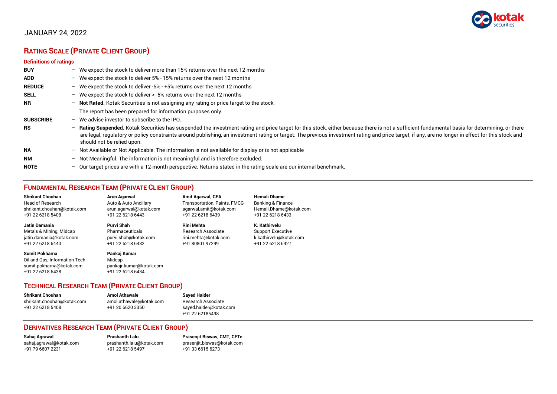

# JANUARY 24, 2022

# **RATING SCALE (PRIVATE CLIENT GROUP)**

#### **Definitions of ratings**

| <b>BUY</b>       |                          | - We expect the stock to deliver more than 15% returns over the next 12 months                                                                                                                                                                                                                                                                                                                                                   |
|------------------|--------------------------|----------------------------------------------------------------------------------------------------------------------------------------------------------------------------------------------------------------------------------------------------------------------------------------------------------------------------------------------------------------------------------------------------------------------------------|
| <b>ADD</b>       |                          | - We expect the stock to deliver 5% - 15% returns over the next 12 months                                                                                                                                                                                                                                                                                                                                                        |
| <b>REDUCE</b>    |                          | - We expect the stock to deliver -5% - +5% returns over the next 12 months                                                                                                                                                                                                                                                                                                                                                       |
| <b>SELL</b>      |                          | - We expect the stock to deliver $\lt$ -5% returns over the next 12 months                                                                                                                                                                                                                                                                                                                                                       |
| <b>NR</b>        |                          | - Not Rated. Kotak Securities is not assigning any rating or price target to the stock.                                                                                                                                                                                                                                                                                                                                          |
|                  |                          | The report has been prepared for information purposes only.                                                                                                                                                                                                                                                                                                                                                                      |
| <b>SUBSCRIBE</b> | $\overline{\phantom{0}}$ | We advise investor to subscribe to the IPO.                                                                                                                                                                                                                                                                                                                                                                                      |
| <b>RS</b>        | $\overline{\phantom{0}}$ | Rating Suspended. Kotak Securities has suspended the investment rating and price target for this stock, either because there is not a sufficient fundamental basis for determining, or there<br>are legal, regulatory or policy constraints around publishing, an investment rating or target. The previous investment rating and price target, if any, are no longer in effect for this stock and<br>should not be relied upon. |
| <b>NA</b>        |                          | - Not Available or Not Applicable. The information is not available for display or is not applicable                                                                                                                                                                                                                                                                                                                             |
| NΜ               | $\overline{\phantom{0}}$ | Not Meaningful. The information is not meaningful and is therefore excluded.                                                                                                                                                                                                                                                                                                                                                     |
| <b>NOTE</b>      |                          | $-$ Our target prices are with a 12-month perspective. Returns stated in the rating scale are our internal benchmark.                                                                                                                                                                                                                                                                                                            |

# **FUNDAMENTAL RESEARCH TEAM (PRIVATE CLIENT GROUP)**

| <b>Shrikant Chouhan</b>                                                                                | <b>Arun Agarwal</b>                                                   | <b>Amit Agarwal, CFA</b>            | <b>Hemali Dhame</b>          |
|--------------------------------------------------------------------------------------------------------|-----------------------------------------------------------------------|-------------------------------------|------------------------------|
| <b>Head of Research</b>                                                                                | Auto & Auto Ancillary                                                 | <b>Transportation, Paints, FMCG</b> | <b>Banking &amp; Finance</b> |
| shrikant.chouhan@kotak.com                                                                             | arun.agarwal@kotak.com                                                | agarwal.amit@kotak.com              | Hemali.Dhame@kotak.com       |
| +91 22 6218 5408                                                                                       | +91 22 6218 6443                                                      | +91 22 6218 6439                    | +91 22 6218 6433             |
| Jatin Damania                                                                                          | Purvi Shah                                                            | Rini Mehta                          | K. Kathirvelu                |
| Metals & Mining, Midcap                                                                                | Pharmaceuticals                                                       | Research Associate                  | <b>Support Executive</b>     |
| jatin.damania@kotak.com                                                                                | purvi.shah@kotak.com                                                  | rini.mehta@kotak.com                | k.kathirvelu@kotak.com       |
| +91 22 6218 6440                                                                                       | +91 22 6218 6432                                                      | +91 80801 97299                     | +91 22 6218 6427             |
| <b>Sumit Pokharna</b><br>Oil and Gas. Information Tech<br>sumit.pokharna@kotak.com<br>+91 22 6218 6438 | Pankai Kumar<br>Midcap<br>pankajr.kumar@kotak.com<br>+91 22 6218 6434 |                                     |                              |

# **TECHNICAL RESEARCH TEAM (PRIVATE CLIENT GROUP)**

| Shrikant Chouhan           | <b>Amol Athawale</b>    | <b>Sayed Haider</b>    |
|----------------------------|-------------------------|------------------------|
| shrikant.chouhan@kotak.com | amol.athawale@kotak.com | Research Associate     |
| +91 22 6218 5408           | +91 20 6620 3350        | sayed.haider@kotak.com |
|                            |                         | +91 22 62185498        |

#### **DERIVATIVES RESEARCH TEAM (PRIVATE CLIENT GROUP)**

+91 22 6218 5497 +91 33 6615 6273

**Sahaj Agrawal Prashanth Lalu Prasenjit Biswas, CMT, CFTe** [sahaj.agrawal@kotak.com](mailto:sahaj.agrawal@kotak.com) [prashanth.lalu@kotak.com](mailto:prashanth.lalu@kotak.com) [prasenjit.biswas@kotak.com](mailto:prasenjit.biswas@kotak.com)